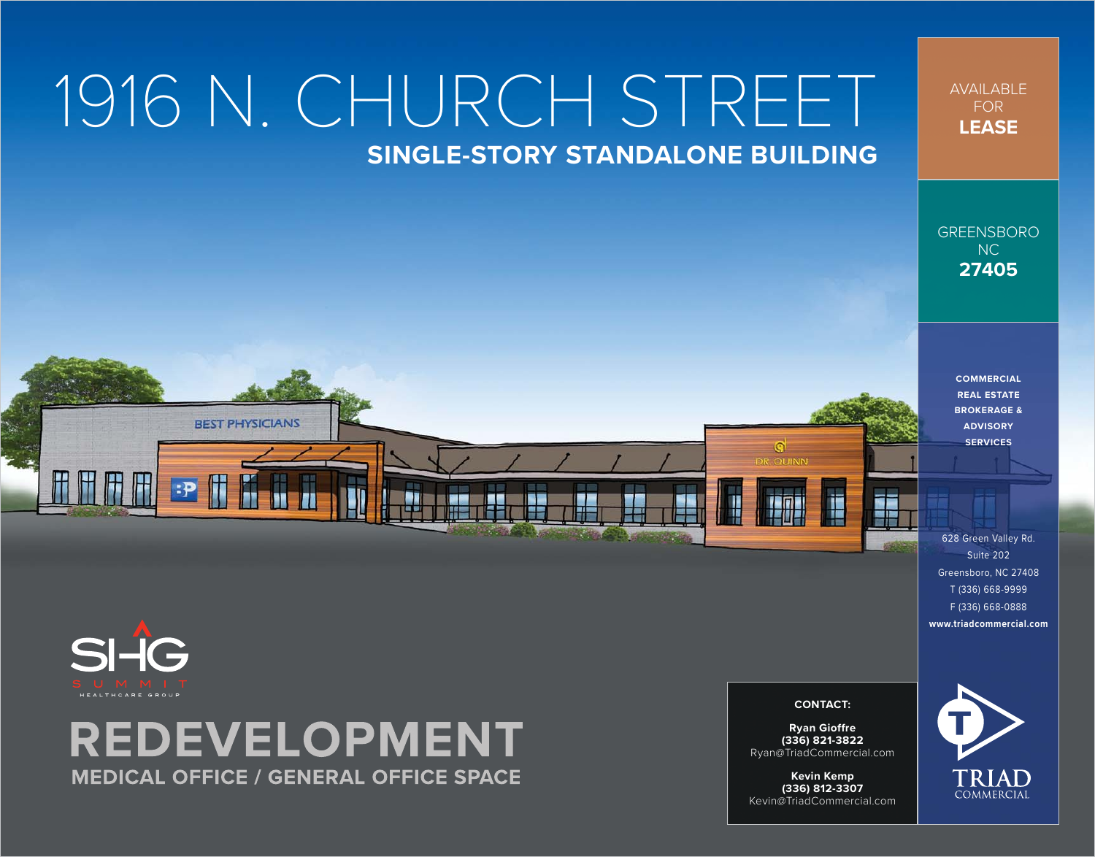# 1916 N. CHURCH STREET **SINGLE-STORY STANDALONE BUILDING**

z۳

١z

AVAILABLE FOR **LEASE**

GREENSBORO NC **27405**

> **COMMERCIAL REAL ESTATE BROKERAGE & ADVISORY SERVICES**

628 Green Valley Rd. Suite 202 Greensboro, NC 27408 T (336) 668-9999 F (336) 668-0888 **[www.triadcommercial.com](http://www.triadcommercial.com)**

### SI-IG HEALTHCARE GROUP

## **REDEVELOPMENT MEDICAL OFFICE / GENERAL OFFICE SPACE**

**BEST PHYSICIANS** 

**CONTACT:**

**SER** 

G **COUINN** 

**Ryan Gioffre (336) 821-3822** [Ryan@TriadCommercial.com](mailto:Ryan@TriadCommercial.com)

**Kevin Kemp (336) 812-3307** [Kevin@TriadCommercial.com](mailto:Kevin@TriadCommercial.com)

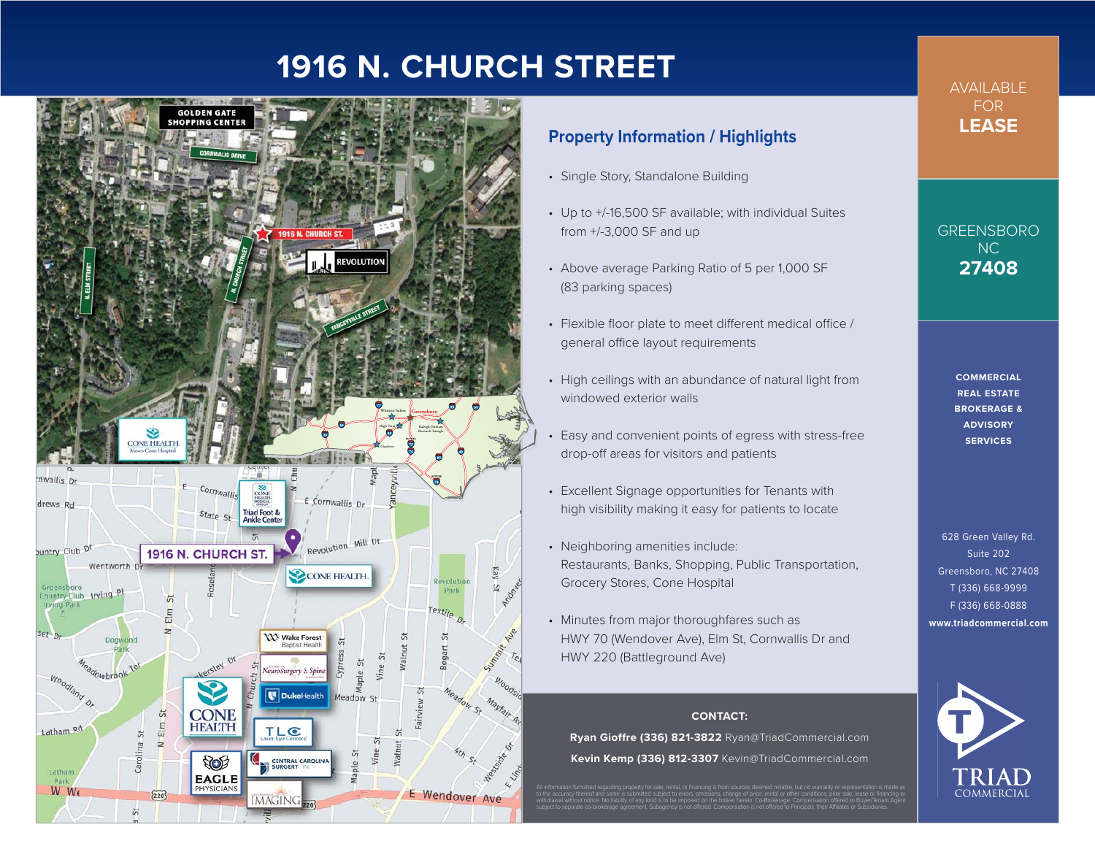#### **1916 N. CHURCH STREET**



#### **Property Information / Highlights**

- Single Story, Standalone Building
- Up to +/-16,500 SF available; with individual Suites from +/-3,000 SF and up
- Above average Parking Ratio of 5 per 1,000 SF (83 parking spaces)
- Flexible floor plate to meet different medical office / general office layout requirements
- High ceilings with an abundance of natural light from windowed exterior walls
- Easy and convenient points of egress with stress-free drop-off areas for visitors and patients
- Excellent Signage opportunities for Tenants with high visibility making it easy for patients to locate
- Neighboring amenities include: Restaurants, Banks, Shopping, Public Transportation, Grocery Stores, Cone Hospital
- Minutes from major thoroughfares such as HWY 70 (Wendover Ave), Elm St, Cornwallis Dr and HWY 220 (Battleground Ave)

#### **CONTACT:**

**Ryan Gioffre (336) 821-3822** [Ryan@TriadCommercial.com](mailto:Ryan@TriadCommercial.com) **Kevin Kemp (336) 812-3307** [Kevin@TriadCommercial.com](mailto:Kevin@TriadCommercial.com)

All information furnished regarding property for sale, rental, or financing is from sources deemed reliable, but no warranty or representation is made as to the accuracy thereof and same is submitted subject to errors, omissions, change of price, rental or other conditions, prior sale, lease or financing or withdrawal without notice. No liability of any kind is to be imposed on the broker herein. Co-Brokerage: Compensation offered to Buyer/Tenant Agent subject to separate co-brokerage agreement. Subagency is not offered. Compensation is not offered to Principals, their Affiliates or Subsidiaries.

**AVAII ABI F** FOR **LEASE**

GREENSBORO NC **27408**

> **COMMERCIAL REAL ESTATE BROKERAGE & ADVISORY SERVICES**

628 Green Valley Rd. Suite 202 Greensboro, NC 27408 T (336) 668-9999 F (336) 668-0888 **[www.triadcommercial.com](http://www.triadcommercial.com)**